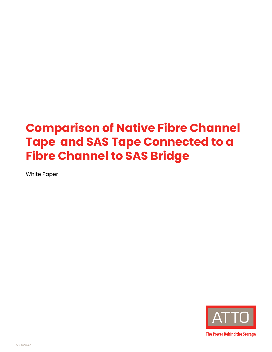# **Comparison of Native Fibre Channel Tape and SAS Tape Connected to a Fibre Channel to SAS Bridge**

White Paper



**The Power Behind the Storage**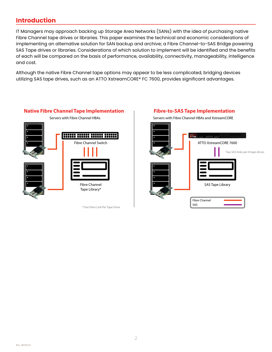# **Introduction**

IT Managers may approach backing up Storage Area Networks (SANs) with the idea of purchasing native Fibre Channel tape drives or libraries. This paper examines the technical and economic considerations of implementing an alternative solution for SAN backup and archive; a Fibre Channel-to-SAS Bridge powering SAS Tape drives or libraries. Considerations of which solution to implement will be identified and the benefits of each will be compared on the basis of performance, availability, connectivity, manageability, intelligence and cost.

Although the native Fibre Channel tape options may appear to be less complicated, bridging devices utilizing SAS tape drives, such as an ATTO XstreamCORE® FC 7600, provides significant advantages.



Servers with Fibre Channel HBAs

**Native Fibre Channel Tape Implementation**

\* One Fibre Link Per Tape Drive

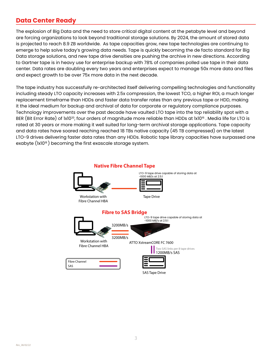# **Data Center Ready**

The explosion of Big Data and the need to store critical digital content at the petabyte level and beyond are forcing organizations to look beyond traditional storage solutions. By 2024, the amount of stored data is projected to reach 8.9 ZB worldwide. As tape capacities grow, new tape technologies are continuing to emerge to help solve today's growing data needs. Tape is quickly becoming the de facto standard for Big Data storage solutions, and new tape drive densities are pushing the archive in new directions. According to Gartner tape is in heavy use for enterprise backup with 78% of companies polled use tape in their data center. Data rates are doubling every two years and enterprises expect to manage 50x more data and files and expect growth to be over 75x more data in the next decade.

The tape industry has successfully re-architected itself delivering compelling technologies and functionality including steady LTO capacity increases with 2.5x compression, the lowest TCO, a higher ROI, a much longer replacement timeframe than HDDs and faster data transfer rates than any previous tape or HDD, making it the ideal medium for backup and archival of data for corporate or regulatory compliance purposes. Technology improvements over the past decade have vaulted LTO tape into the top reliability spot with a BER (Bit Error Rate) of 1x10<sup>20</sup>, four orders of magnitude more reliable than HDDs at 1x10<sup>16</sup>. Media life for LTO is rated at 30 years or more making it well suited for long-term archival storage applications. Tape capacity and data rates have soared reaching reached 18 TBs native capacity (45 TB compressed) on the latest LTO-9 drives delivering faster data rates than any HDDs. Robotic tape library capacities have surpassed one exabyte (1x10<sup>18</sup>) becoming the first exascale storage system.

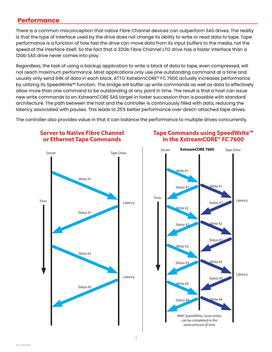# **Performance**

There is a common misconception that native Fibre Channel devices can outperform SAS drives. The reality is that the type of interface used by the drive does not change its ability to write or read data to tape. Tape performance is a function of how fast the drive can move data from its input buffers to the media, not the speed of the interface itself. So the fact that a 32Gb Fibre Channel LTO drive has a faster interface than a 12Gb SAS drive never comes into play.

Regardless, the task of using a backup application to write a block of data to tape, even compressed, will not reach maximum performance. Most applications only use one outstanding command at a time and usually only send 64K of data in each block. ATTO XstreamCORE® FC 7600 actually increases performance by utilizing its SpeedWrite™ function. The bridge will buffer up write commands as well as data to effectively allow more than one command to be outstanding at any point in time. The result is that a host can issue new write commands to an XstreamCORE SAS target in faster succession than is possible with standard architecture. The path between the host and the controller is continuously filled with data, reducing the latency associated with pauses. This leads to 25% better performance over direct-attached tape drives.

The controller also provides value in that it can balance the performance to multiple drives concurrently.

# **Server to Native Fibre Channel or Ethernet Tape Commands**



# **Tape Commands using SpeedWrite™ Tape Commands Using SpeedWrite Tape Commands Using SpeedWrite**   $\mathbf{r}$  in the XstreamCORE® FC 7600

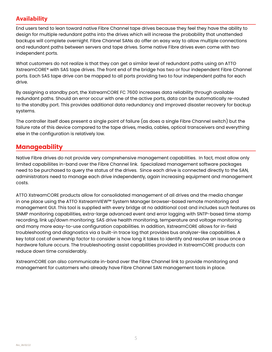### **Availability**

End users tend to lean toward native Fibre Channel tape drives because they feel they have the ability to design for multiple redundant paths into the drives which will increase the probability that unattended backups will complete overnight. Fibre Channel SANs do offer an easy way to allow multiple connections and redundant paths between servers and tape drives. Some native Fibre drives even come with two independent ports.

What customers do not realize is that they can get a similar level of redundant paths using an ATTO XstreamCORE® with SAS tape drives. The front end of the bridge has two or four independent Fibre Channel ports. Each SAS tape drive can be mapped to all ports providing two to four independent paths for each drive.

By assigning a standby port, the XstreamCORE FC 7600 increases data reliability through available redundant paths. Should an error occur with one of the active ports, data can be automatically re-routed to the standby port. This provides additional data redundancy and improved disaster recovery for backup systems.

The controller itself does present a single point of failure (as does a single Fibre Channel switch) but the failure rate of this device compared to the tape drives, media, cables, optical transceivers and everything else in the configuration is relatively low.

## **Manageability**

Native Fibre drives do not provide very comprehensive management capabilities. In fact, most allow only limited capabiliites in-band over the Fibre Channel link. Specialized management software packages need to be purchased to query the status of the drives. Since each drive is connected directly to the SAN, administrators need to manage each drive independently, again increasing equipment and management costs.

ATTO XstreamCORE products allow for consolidated management of all drives and the media changer in one place using the ATTO XstreamVIEW™ System Manager browser-based remote monitoring and management GUI. This tool is supplied with every bridge at no additional cost and includes such features as SNMP monitoring capabilities, extra-large advanced event and error logging with SNTP-based time stamp recording, link up/down monitoring; SAS drive health monitoring, temperature and voltage monitoring and many more easy-to-use configuration capabilities. In addition, XstreamCORE allows for in-field troubleshooting and diagnostics via a built-in trace log that provides bus analyzer-like capabilities. A key total cost of ownership factor to consider is how long it takes to identify and resolve an issue once a hardware failure occurs. The troubleshooting assist capabilities provided in XstreamCORE products can reduce down time considerably.

XstreamCORE can also communicate in-band over the Fibre Channel link to provide monitoring and management for customers who already have Fibre Channel SAN management tools in place.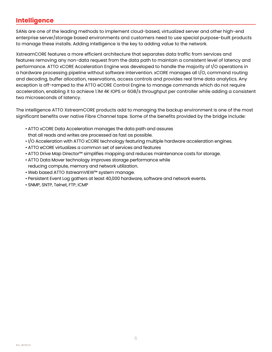# **Intelligence**

SANs are one of the leading methods to implement cloud-based, virtualized server and other high-end enterprise server/storage based environments and customers need to use special purpose-built products to manage these installs. Adding intelligence is the key to adding value to the network.

XstreamCORE features a more efficient architecture that separates data traffic from services and features removing any non-data request from the data path to maintain a consistent level of latency and performance. ATTO xCORE Acceleration Engine was developed to handle the majority of I/O operations in a hardware processing pipeline without software intervention. xCORE manages all I/O, command routing and decoding, buffer allocation, reservations, access controls and provides real time data analytics. Any exception is off-ramped to the ATTO eCORE Control Engine to manage commands which do not require acceleration, enabling it to achieve 1.1M 4K IOPS or 6GB/s throughput per controller while adding a consistent two microseconds of latency.

The intelligence ATTO XstreamCORE products add to managing the backup environment is one of the most significant benefits over native Fibre Channel tape. Some of the benefits provided by the bridge include:

- ATTO xCORE Data Acceleration manages the data path and assures
- that all reads and writes are processed as fast as possible.
- I/O Acceleration with ATTO xCORE technology featuring multiple hardware acceleration engines.
- ATTO eCORE virtualizes a common set of services and features
- ATTO Drive Map Director™ simplifies mapping and reduces maintenance costs for storage.
- ATTO Data Mover technology improves storage performance while reducing compute, memory and network utilization.
- Web based ATTO XstreamVIEW™ system manage.
- Persistent Event Log gathers at least 40,000 hardware, software and network events.
- SNMP, SNTP, Telnet, FTP, iCMP